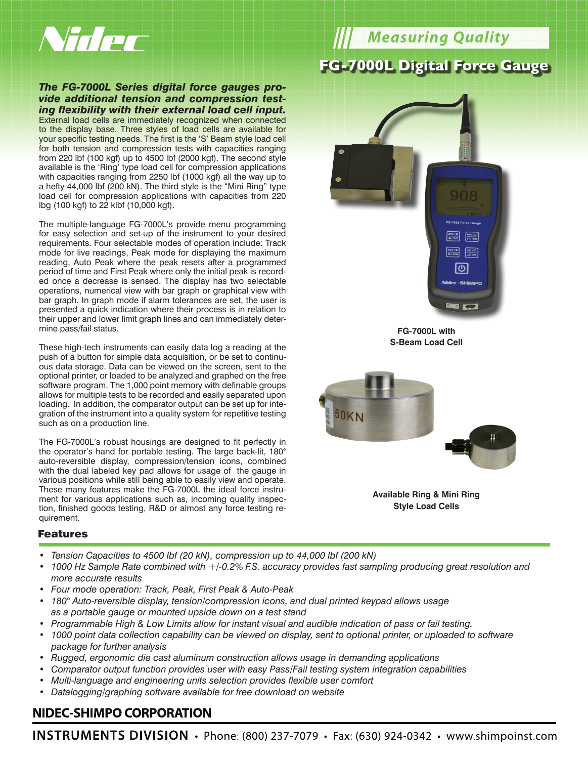

#### *The FG-7000L Series digital force gauges provide additional tension and compression testing flexibility with their external load cell input.* External load cells are immediately recognized when connected

to the display base. Three styles of load cells are available for your specific testing needs. The first is the 'S' Beam style load cell for both tension and compression tests with capacities ranging from 220 lbf (100 kgf) up to 4500 lbf (2000 kgf). The second style available is the 'Ring' type load cell for compression applications with capacities ranging from 2250 lbf (1000 kgf) all the way up to a hefty 44,000 lbf (200 kN). The third style is the "Mini Ring" type load cell for compression applications with capacities from 220 lbg (100 kgf) to 22 klbf (10,000 kgf).

The multiple-language FG-7000L's provide menu programming for easy selection and set-up of the instrument to your desired requirements. Four selectable modes of operation include: Track mode for live readings, Peak mode for displaying the maximum reading, Auto Peak where the peak resets after a programmed period of time and First Peak where only the initial peak is recorded once a decrease is sensed. The display has two selectable operations, numerical view with bar graph or graphical view with bar graph. In graph mode if alarm tolerances are set, the user is presented a quick indication where their process is in relation to their upper and lower limit graph lines and can immediately determine pass/fail status.

These high-tech instruments can easily data log a reading at the push of a button for simple data acquisition, or be set to continuous data storage. Data can be viewed on the screen, sent to the optional printer, or loaded to be analyzed and graphed on the free software program. The 1,000 point memory with definable groups allows for multiple tests to be recorded and easily separated upon loading. In addition, the comparator output can be set up for integration of the instrument into a quality system for repetitive testing such as on a production line.

The FG-7000L's robust housings are designed to fit perfectly in the operator's hand for portable testing. The large back-lit, 180° auto-reversible display, compression/tension icons, combined with the dual labeled key pad allows for usage of the gauge in various positions while still being able to easily view and operate. These many features make the FG-7000L the ideal force instrument for various applications such as, incoming quality inspection, finished goods testing, R&D or almost any force testing requirement.

# **Measuring Quality FG-7000L Digital Force Gauge**







**Available Ring & Mini Ring Style Load Cells**

#### Features

- *• Tension Capacities to 4500 lbf (20 kN), compression up to 44,000 lbf (200 kN)*
- *• 1000 Hz Sample Rate combined with +/-0.2% F.S. accuracy provides fast sampling producing great resolution and more accurate results*
- *• Four mode operation: Track, Peak, First Peak & Auto-Peak*
- *• 180° Auto-reversible display, tension/compression icons, and dual printed keypad allows usage as a portable gauge or mounted upside down on a test stand*
- *• Programmable High & Low Limits allow for instant visual and audible indication of pass or fail testing.*
- *• 1000 point data collection capability can be viewed on display, sent to optional printer, or uploaded to software package for further analysis*
- *• Rugged, ergonomic die cast aluminum construction allows usage in demanding applications*
- *• Comparator output function provides user with easy Pass/Fail testing system integration capabilities*
- *• Multi-language and engineering units selection provides flexible user comfort*
- *• Datalogging/graphing software available for free download on website*

## **NIDEC-SHIMPO CORPORATION**

INSTRUMENTS DIVISION · Phone: (800) 237-7079 · Fax: (630) 924-0342 · www.shimpoinst.com